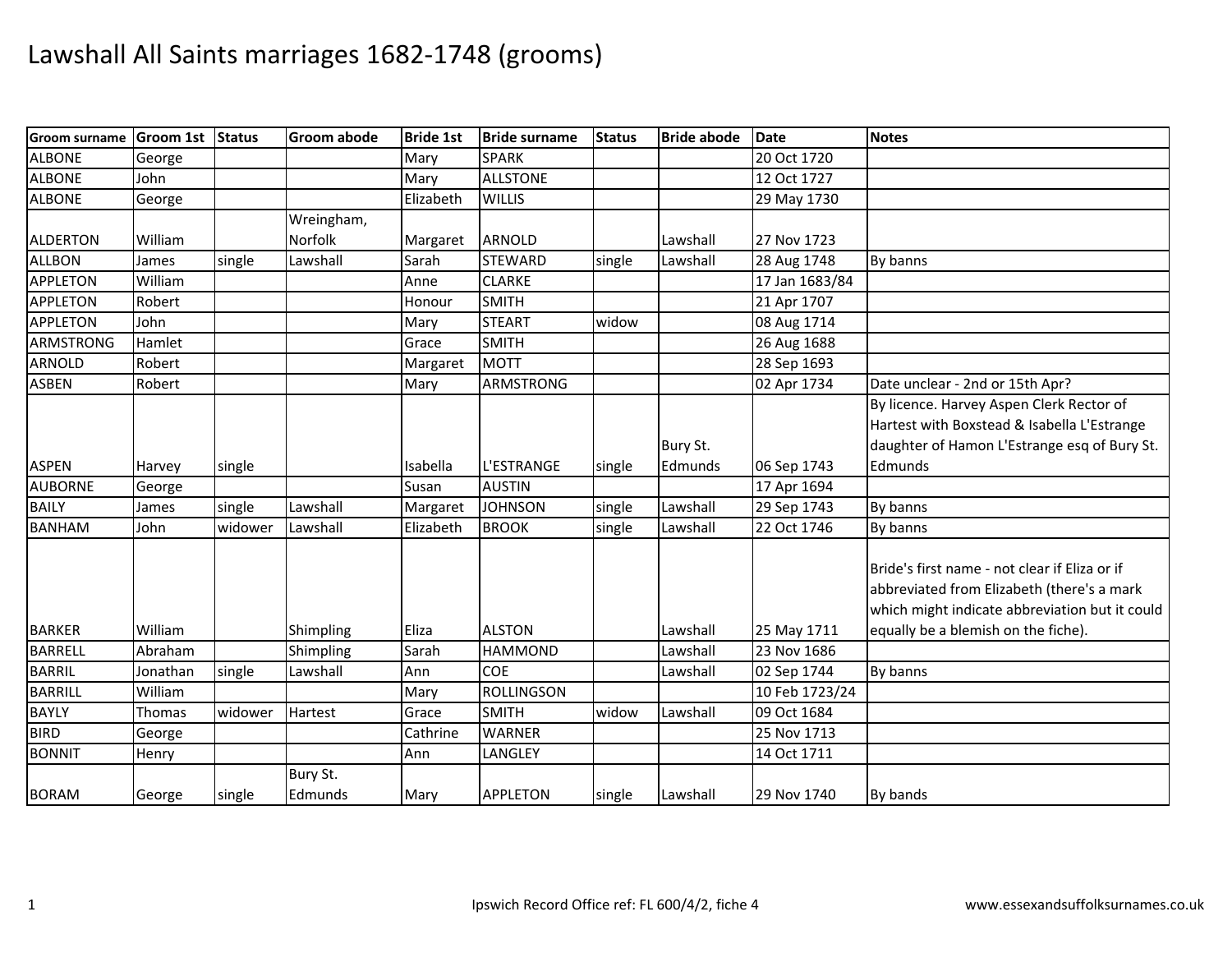| <b>Groom surname</b> | Groom 1st Status |         | <b>Groom abode</b>  | <b>Bride 1st</b> | <b>Bride surname</b> | <b>Status</b> | <b>Bride abode</b> | Date           | <b>Notes</b>                                                                                                                                  |
|----------------------|------------------|---------|---------------------|------------------|----------------------|---------------|--------------------|----------------|-----------------------------------------------------------------------------------------------------------------------------------------------|
| <b>ALBONE</b>        | George           |         |                     | Mary             | <b>SPARK</b>         |               |                    | 20 Oct 1720    |                                                                                                                                               |
| <b>ALBONE</b>        | John             |         |                     | Mary             | <b>ALLSTONE</b>      |               |                    | 12 Oct 1727    |                                                                                                                                               |
| <b>ALBONE</b>        | George           |         |                     | Elizabeth        | <b>WILLIS</b>        |               |                    | 29 May 1730    |                                                                                                                                               |
|                      |                  |         | Wreingham,          |                  |                      |               |                    |                |                                                                                                                                               |
| ALDERTON             | William          |         | Norfolk             | Margaret         | ARNOLD               |               | Lawshall           | 27 Nov 1723    |                                                                                                                                               |
| <b>ALLBON</b>        | James            | single  | Lawshall            | Sarah            | <b>STEWARD</b>       | single        | Lawshall           | 28 Aug 1748    | By banns                                                                                                                                      |
| <b>APPLETON</b>      | William          |         |                     | Anne             | <b>CLARKE</b>        |               |                    | 17 Jan 1683/84 |                                                                                                                                               |
| <b>APPLETON</b>      | Robert           |         |                     | Honour           | <b>SMITH</b>         |               |                    | 21 Apr 1707    |                                                                                                                                               |
| <b>APPLETON</b>      | John             |         |                     | Mary             | <b>STEART</b>        | widow         |                    | 08 Aug 1714    |                                                                                                                                               |
| <b>ARMSTRONG</b>     | Hamlet           |         |                     | Grace            | <b>SMITH</b>         |               |                    | 26 Aug 1688    |                                                                                                                                               |
| <b>ARNOLD</b>        | Robert           |         |                     | Margaret         | <b>MOTT</b>          |               |                    | 28 Sep 1693    |                                                                                                                                               |
| <b>ASBEN</b>         | Robert           |         |                     | Mary             | <b>ARMSTRONG</b>     |               |                    | 02 Apr 1734    | Date unclear - 2nd or 15th Apr?                                                                                                               |
|                      |                  |         |                     |                  |                      |               |                    |                | By licence. Harvey Aspen Clerk Rector of                                                                                                      |
|                      |                  |         |                     |                  |                      |               |                    |                | Hartest with Boxstead & Isabella L'Estrange                                                                                                   |
|                      |                  |         |                     |                  |                      |               | Bury St.           |                | daughter of Hamon L'Estrange esq of Bury St.                                                                                                  |
| <b>ASPEN</b>         | Harvey           | single  |                     | Isabella         | <b>L'ESTRANGE</b>    | single        | Edmunds            | 06 Sep 1743    | Edmunds                                                                                                                                       |
| <b>AUBORNE</b>       | George           |         |                     | Susan            | <b>AUSTIN</b>        |               |                    | 17 Apr 1694    |                                                                                                                                               |
| <b>BAILY</b>         | James            | single  | Lawshall            | Margaret         | <b>JOHNSON</b>       | single        | Lawshall           | 29 Sep 1743    | By banns                                                                                                                                      |
| <b>BANHAM</b>        | John             | widower | Lawshall            | Elizabeth        | <b>BROOK</b>         | single        | Lawshall           | 22 Oct 1746    | By banns                                                                                                                                      |
|                      |                  |         |                     |                  |                      |               |                    |                | Bride's first name - not clear if Eliza or if<br>abbreviated from Elizabeth (there's a mark<br>which might indicate abbreviation but it could |
| <b>BARKER</b>        | William          |         | Shimpling           | Eliza            | <b>ALSTON</b>        |               | Lawshall           | 25 May 1711    | equally be a blemish on the fiche).                                                                                                           |
| <b>BARRELL</b>       | Abraham          |         | Shimpling           | Sarah            | <b>HAMMOND</b>       |               | Lawshall           | 23 Nov 1686    |                                                                                                                                               |
| <b>BARRIL</b>        | Jonathan         | single  | Lawshall            | Ann              | COE                  |               | Lawshall           | 02 Sep 1744    | By banns                                                                                                                                      |
| <b>BARRILL</b>       | William          |         |                     | Mary             | <b>ROLLINGSON</b>    |               |                    | 10 Feb 1723/24 |                                                                                                                                               |
| <b>BAYLY</b>         | Thomas           | widower | Hartest             | Grace            | <b>SMITH</b>         | widow         | Lawshall           | 09 Oct 1684    |                                                                                                                                               |
| <b>BIRD</b>          | George           |         |                     | Cathrine         | <b>WARNER</b>        |               |                    | 25 Nov 1713    |                                                                                                                                               |
| <b>BONNIT</b>        | Henry            |         |                     | Ann              | LANGLEY              |               |                    | 14 Oct 1711    |                                                                                                                                               |
| <b>BORAM</b>         | George           | single  | Bury St.<br>Edmunds | Mary             | <b>APPLETON</b>      | single        | Lawshall           | 29 Nov 1740    | By bands                                                                                                                                      |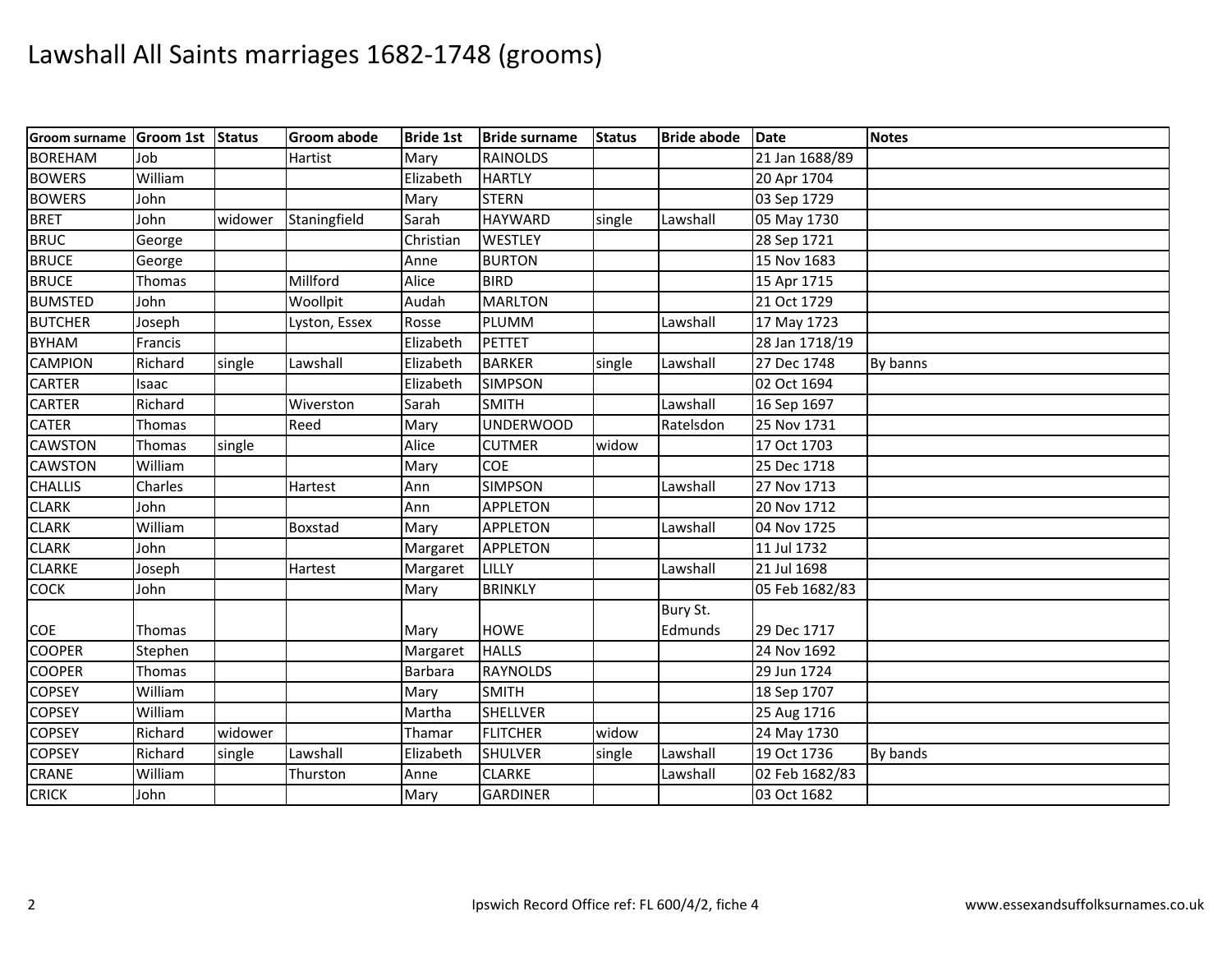| <b>Groom surname</b> | Groom 1st Status |         | <b>Groom abode</b> | <b>Bride 1st</b> | <b>Bride surname</b> | <b>Status</b> | <b>Bride abode</b> | <b>Date</b>    | <b>Notes</b> |
|----------------------|------------------|---------|--------------------|------------------|----------------------|---------------|--------------------|----------------|--------------|
| <b>BOREHAM</b>       | Job              |         | Hartist            | Mary             | <b>RAINOLDS</b>      |               |                    | 21 Jan 1688/89 |              |
| <b>BOWERS</b>        | William          |         |                    | Elizabeth        | <b>HARTLY</b>        |               |                    | 20 Apr 1704    |              |
| <b>BOWERS</b>        | John             |         |                    | Mary             | <b>STERN</b>         |               |                    | 03 Sep 1729    |              |
| <b>BRET</b>          | John             | widower | Staningfield       | Sarah            | <b>HAYWARD</b>       | single        | Lawshall           | 05 May 1730    |              |
| <b>BRUC</b>          | George           |         |                    | Christian        | <b>WESTLEY</b>       |               |                    | 28 Sep 1721    |              |
| <b>BRUCE</b>         | George           |         |                    | Anne             | <b>BURTON</b>        |               |                    | 15 Nov 1683    |              |
| <b>BRUCE</b>         | Thomas           |         | Millford           | Alice            | <b>BIRD</b>          |               |                    | 15 Apr 1715    |              |
| <b>BUMSTED</b>       | John             |         | Woollpit           | Audah            | <b>MARLTON</b>       |               |                    | 21 Oct 1729    |              |
| <b>BUTCHER</b>       | Joseph           |         | Lyston, Essex      | Rosse            | PLUMM                |               | Lawshall           | 17 May 1723    |              |
| <b>BYHAM</b>         | Francis          |         |                    | Elizabeth        | <b>PETTET</b>        |               |                    | 28 Jan 1718/19 |              |
| <b>CAMPION</b>       | Richard          | single  | Lawshall           | Elizabeth        | <b>BARKER</b>        | single        | Lawshall           | 27 Dec 1748    | By banns     |
| <b>CARTER</b>        | Isaac            |         |                    | Elizabeth        | <b>SIMPSON</b>       |               |                    | 02 Oct 1694    |              |
| <b>CARTER</b>        | Richard          |         | Wiverston          | Sarah            | <b>SMITH</b>         |               | Lawshall           | 16 Sep 1697    |              |
| <b>CATER</b>         | Thomas           |         | Reed               | Mary             | <b>UNDERWOOD</b>     |               | Ratelsdon          | 25 Nov 1731    |              |
| CAWSTON              | Thomas           | single  |                    | Alice            | <b>CUTMER</b>        | widow         |                    | 17 Oct 1703    |              |
| <b>CAWSTON</b>       | William          |         |                    | Mary             | <b>COE</b>           |               |                    | 25 Dec 1718    |              |
| <b>CHALLIS</b>       | Charles          |         | Hartest            | Ann              | <b>SIMPSON</b>       |               | Lawshall           | 27 Nov 1713    |              |
| <b>CLARK</b>         | John             |         |                    | Ann              | <b>APPLETON</b>      |               |                    | 20 Nov 1712    |              |
| <b>CLARK</b>         | William          |         | <b>Boxstad</b>     | Mary             | <b>APPLETON</b>      |               | Lawshall           | 04 Nov 1725    |              |
| <b>CLARK</b>         | John             |         |                    | Margaret         | <b>APPLETON</b>      |               |                    | 11 Jul 1732    |              |
| <b>CLARKE</b>        | Joseph           |         | Hartest            | Margaret         | <b>LILLY</b>         |               | Lawshall           | 21 Jul 1698    |              |
| COCK                 | John             |         |                    | Mary             | <b>BRINKLY</b>       |               |                    | 05 Feb 1682/83 |              |
|                      |                  |         |                    |                  |                      |               | Bury St.           |                |              |
| COE                  | Thomas           |         |                    | Mary             | <b>HOWE</b>          |               | Edmunds            | 29 Dec 1717    |              |
| <b>COOPER</b>        | Stephen          |         |                    | Margaret         | <b>HALLS</b>         |               |                    | 24 Nov 1692    |              |
| <b>COOPER</b>        | Thomas           |         |                    | <b>Barbara</b>   | <b>RAYNOLDS</b>      |               |                    | 29 Jun 1724    |              |
| <b>COPSEY</b>        | William          |         |                    | Mary             | <b>SMITH</b>         |               |                    | 18 Sep 1707    |              |
| <b>COPSEY</b>        | William          |         |                    | Martha           | <b>SHELLVER</b>      |               |                    | 25 Aug 1716    |              |
| <b>COPSEY</b>        | Richard          | widower |                    | Thamar           | <b>FLITCHER</b>      | widow         |                    | 24 May 1730    |              |
| <b>COPSEY</b>        | Richard          | single  | Lawshall           | Elizabeth        | <b>SHULVER</b>       | single        | Lawshall           | 19 Oct 1736    | By bands     |
| CRANE                | William          |         | Thurston           | Anne             | <b>CLARKE</b>        |               | Lawshall           | 02 Feb 1682/83 |              |
| <b>CRICK</b>         | John             |         |                    | Mary             | <b>GARDINER</b>      |               |                    | 03 Oct 1682    |              |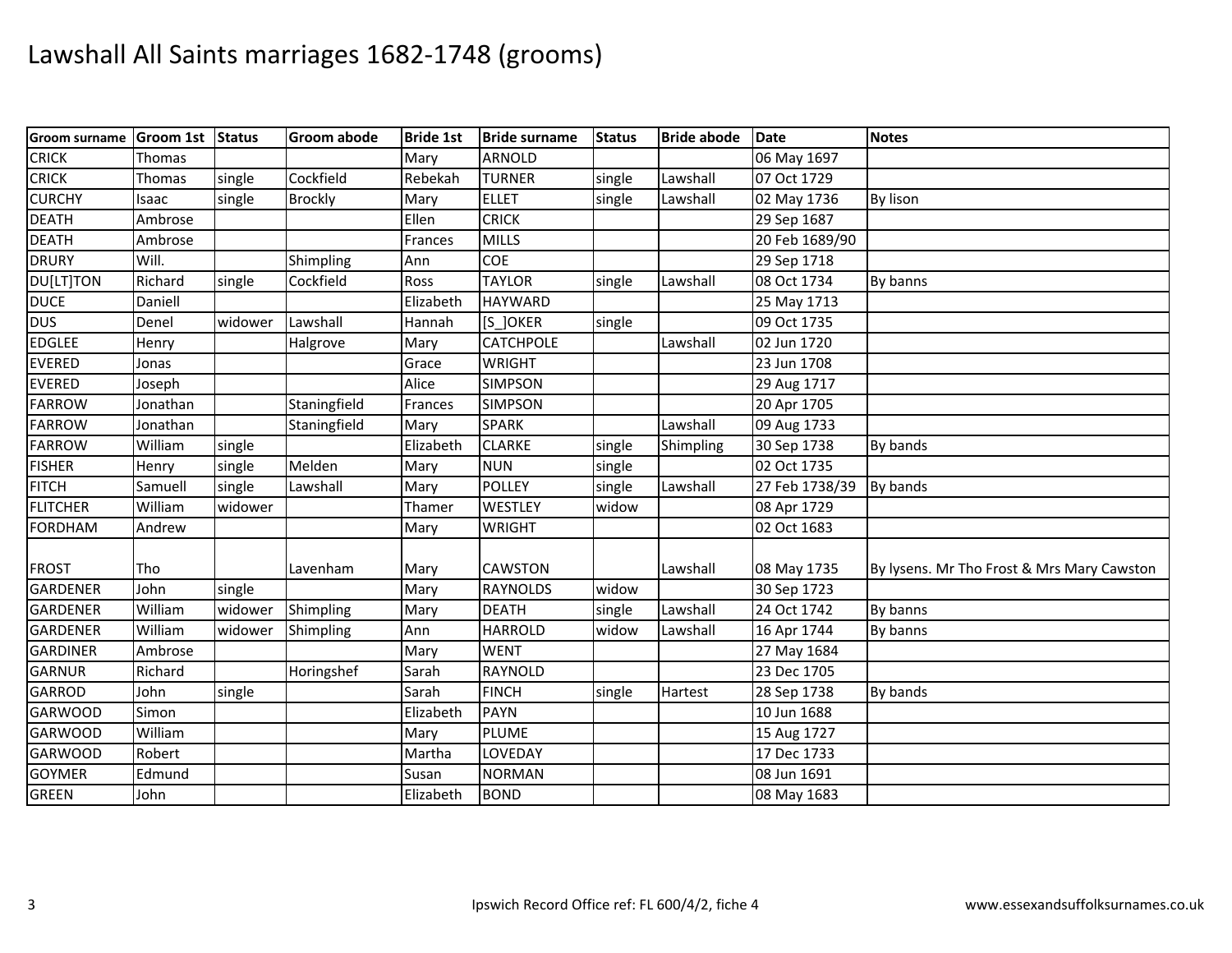| <b>Groom surname</b> | Groom 1st Status |         | <b>Groom abode</b> | <b>Bride 1st</b> | <b>Bride surname</b> | <b>Status</b> | <b>Bride abode</b> | <b>Date</b>    | <b>Notes</b>                               |
|----------------------|------------------|---------|--------------------|------------------|----------------------|---------------|--------------------|----------------|--------------------------------------------|
| <b>CRICK</b>         | Thomas           |         |                    | Mary             | ARNOLD               |               |                    | 06 May 1697    |                                            |
| <b>CRICK</b>         | Thomas           | single  | Cockfield          | Rebekah          | <b>TURNER</b>        | single        | Lawshall           | 07 Oct 1729    |                                            |
| <b>CURCHY</b>        | Isaac            | single  | <b>Brockly</b>     | Mary             | <b>ELLET</b>         | single        | Lawshall           | 02 May 1736    | By lison                                   |
| <b>DEATH</b>         | Ambrose          |         |                    | Ellen            | <b>CRICK</b>         |               |                    | 29 Sep 1687    |                                            |
| <b>DEATH</b>         | Ambrose          |         |                    | Frances          | <b>MILLS</b>         |               |                    | 20 Feb 1689/90 |                                            |
| <b>DRURY</b>         | Will.            |         | Shimpling          | Ann              | COE                  |               |                    | 29 Sep 1718    |                                            |
| DU[LT]TON            | Richard          | single  | Cockfield          | Ross             | <b>TAYLOR</b>        | single        | Lawshall           | 08 Oct 1734    | By banns                                   |
| <b>DUCE</b>          | Daniell          |         |                    | Elizabeth        | <b>HAYWARD</b>       |               |                    | 25 May 1713    |                                            |
| <b>DUS</b>           | Denel            | widower | Lawshall           | Hannah           | $[S_$ JOKER          | single        |                    | 09 Oct 1735    |                                            |
| <b>EDGLEE</b>        | Henry            |         | Halgrove           | Mary             | CATCHPOLE            |               | Lawshall           | 02 Jun 1720    |                                            |
| <b>EVERED</b>        | Jonas            |         |                    | Grace            | <b>WRIGHT</b>        |               |                    | 23 Jun 1708    |                                            |
| <b>EVERED</b>        | Joseph           |         |                    | Alice            | <b>SIMPSON</b>       |               |                    | 29 Aug 1717    |                                            |
| <b>FARROW</b>        | Jonathan         |         | Staningfield       | Frances          | <b>SIMPSON</b>       |               |                    | 20 Apr 1705    |                                            |
| <b>FARROW</b>        | Jonathan         |         | Staningfield       | Mary             | <b>SPARK</b>         |               | Lawshall           | 09 Aug 1733    |                                            |
| <b>FARROW</b>        | William          | single  |                    | Elizabeth        | <b>CLARKE</b>        | single        | Shimpling          | 30 Sep 1738    | By bands                                   |
| <b>FISHER</b>        | Henry            | single  | Melden             | Mary             | <b>NUN</b>           | single        |                    | 02 Oct 1735    |                                            |
| <b>FITCH</b>         | Samuell          | single  | Lawshall           | Mary             | <b>POLLEY</b>        | single        | Lawshall           | 27 Feb 1738/39 | By bands                                   |
| <b>FLITCHER</b>      | William          | widower |                    | Thamer           | WESTLEY              | widow         |                    | 08 Apr 1729    |                                            |
| <b>FORDHAM</b>       | Andrew           |         |                    | Mary             | <b>WRIGHT</b>        |               |                    | 02 Oct 1683    |                                            |
| <b>FROST</b>         | Tho              |         | Lavenham           | Mary             | <b>CAWSTON</b>       |               | Lawshall           | 08 May 1735    | By lysens. Mr Tho Frost & Mrs Mary Cawston |
| <b>GARDENER</b>      | John             | single  |                    | Mary             | <b>RAYNOLDS</b>      | widow         |                    | 30 Sep 1723    |                                            |
| <b>GARDENER</b>      | William          | widower | Shimpling          | Mary             | <b>DEATH</b>         | single        | Lawshall           | 24 Oct 1742    | By banns                                   |
| <b>GARDENER</b>      | William          | widower | Shimpling          | Ann              | <b>HARROLD</b>       | widow         | Lawshall           | 16 Apr 1744    | By banns                                   |
| <b>GARDINER</b>      | Ambrose          |         |                    | Mary             | <b>WENT</b>          |               |                    | 27 May 1684    |                                            |
| <b>GARNUR</b>        | Richard          |         | Horingshef         | Sarah            | <b>RAYNOLD</b>       |               |                    | 23 Dec 1705    |                                            |
| <b>GARROD</b>        | John             | single  |                    | Sarah            | <b>FINCH</b>         | single        | Hartest            | 28 Sep 1738    | By bands                                   |
| <b>GARWOOD</b>       | Simon            |         |                    | Elizabeth        | <b>PAYN</b>          |               |                    | 10 Jun 1688    |                                            |
| <b>GARWOOD</b>       | William          |         |                    | Mary             | <b>PLUME</b>         |               |                    | 15 Aug 1727    |                                            |
| <b>GARWOOD</b>       | Robert           |         |                    | Martha           | LOVEDAY              |               |                    | 17 Dec 1733    |                                            |
| <b>GOYMER</b>        | Edmund           |         |                    | Susan            | <b>NORMAN</b>        |               |                    | 08 Jun 1691    |                                            |
| <b>GREEN</b>         | John             |         |                    | Elizabeth        | <b>BOND</b>          |               |                    | 08 May 1683    |                                            |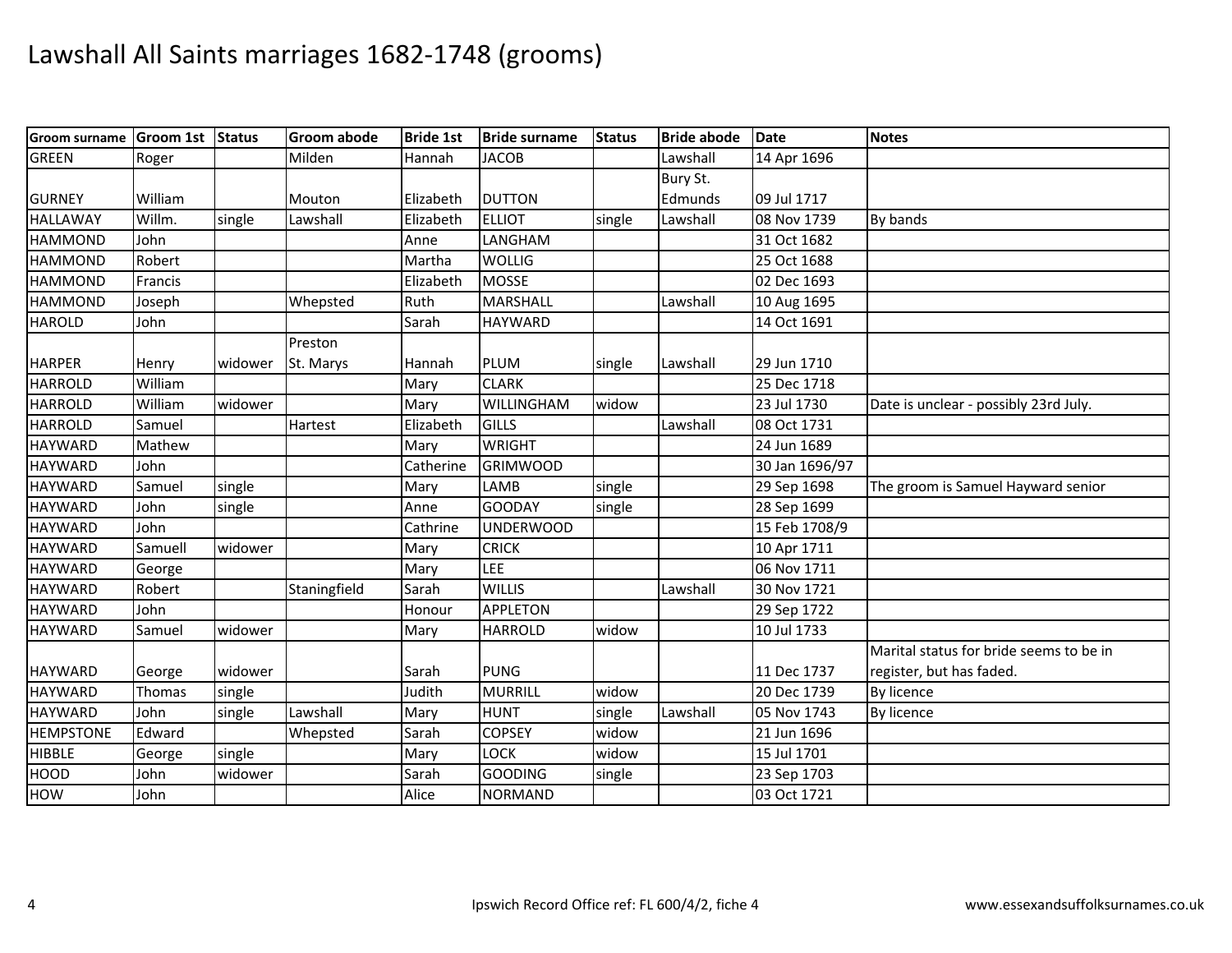| <b>Groom surname</b> | Groom 1st Status |         | <b>Groom abode</b> | <b>Bride 1st</b> | <b>Bride surname</b> | <b>Status</b> | <b>Bride abode</b> | <b>Date</b>    | <b>Notes</b>                            |
|----------------------|------------------|---------|--------------------|------------------|----------------------|---------------|--------------------|----------------|-----------------------------------------|
| <b>GREEN</b>         | Roger            |         | Milden             | Hannah           | <b>JACOB</b>         |               | Lawshall           | 14 Apr 1696    |                                         |
|                      |                  |         |                    |                  |                      |               | Bury St.           |                |                                         |
| <b>GURNEY</b>        | William          |         | Mouton             | Elizabeth        | <b>DUTTON</b>        |               | Edmunds            | 09 Jul 1717    |                                         |
| <b>HALLAWAY</b>      | Willm.           | single  | Lawshall           | Elizabeth        | <b>ELLIOT</b>        | single        | Lawshall           | 08 Nov 1739    | By bands                                |
| <b>HAMMOND</b>       | John             |         |                    | Anne             | LANGHAM              |               |                    | 31 Oct 1682    |                                         |
| <b>HAMMOND</b>       | Robert           |         |                    | Martha           | <b>WOLLIG</b>        |               |                    | 25 Oct 1688    |                                         |
| <b>HAMMOND</b>       | Francis          |         |                    | Elizabeth        | <b>MOSSE</b>         |               |                    | 02 Dec 1693    |                                         |
| <b>HAMMOND</b>       | Joseph           |         | Whepsted           | Ruth             | <b>MARSHALL</b>      |               | Lawshall           | 10 Aug 1695    |                                         |
| <b>HAROLD</b>        | John             |         |                    | Sarah            | <b>HAYWARD</b>       |               |                    | 14 Oct 1691    |                                         |
|                      |                  |         | Preston            |                  |                      |               |                    |                |                                         |
| <b>HARPER</b>        | Henry            | widower | St. Marys          | Hannah           | <b>PLUM</b>          | single        | Lawshall           | 29 Jun 1710    |                                         |
| <b>HARROLD</b>       | William          |         |                    | Mary             | <b>CLARK</b>         |               |                    | 25 Dec 1718    |                                         |
| <b>HARROLD</b>       | William          | widower |                    | Mary             | WILLINGHAM           | widow         |                    | 23 Jul 1730    | Date is unclear - possibly 23rd July.   |
| <b>HARROLD</b>       | Samuel           |         | Hartest            | Elizabeth        | GILLS                |               | Lawshall           | 08 Oct 1731    |                                         |
| <b>HAYWARD</b>       | Mathew           |         |                    | Mary             | <b>WRIGHT</b>        |               |                    | 24 Jun 1689    |                                         |
| <b>HAYWARD</b>       | John             |         |                    | Catherine        | <b>GRIMWOOD</b>      |               |                    | 30 Jan 1696/97 |                                         |
| <b>HAYWARD</b>       | Samuel           | single  |                    | Mary             | LAMB                 | single        |                    | 29 Sep 1698    | The groom is Samuel Hayward senior      |
| <b>HAYWARD</b>       | John             | single  |                    | Anne             | <b>GOODAY</b>        | single        |                    | 28 Sep 1699    |                                         |
| <b>HAYWARD</b>       | John             |         |                    | Cathrine         | <b>UNDERWOOD</b>     |               |                    | 15 Feb 1708/9  |                                         |
| <b>HAYWARD</b>       | Samuell          | widower |                    | Mary             | <b>CRICK</b>         |               |                    | 10 Apr 1711    |                                         |
| <b>HAYWARD</b>       | George           |         |                    | Mary             | LEE                  |               |                    | 06 Nov 1711    |                                         |
| <b>HAYWARD</b>       | Robert           |         | Staningfield       | Sarah            | <b>WILLIS</b>        |               | Lawshall           | 30 Nov 1721    |                                         |
| <b>HAYWARD</b>       | John             |         |                    | Honour           | <b>APPLETON</b>      |               |                    | 29 Sep 1722    |                                         |
| <b>HAYWARD</b>       | Samuel           | widower |                    | Mary             | <b>HARROLD</b>       | widow         |                    | 10 Jul 1733    |                                         |
|                      |                  |         |                    |                  |                      |               |                    |                | Marital status for bride seems to be in |
| <b>HAYWARD</b>       | George           | widower |                    | Sarah            | <b>PUNG</b>          |               |                    | 11 Dec 1737    | register, but has faded.                |
| <b>HAYWARD</b>       | Thomas           | single  |                    | Judith           | <b>MURRILL</b>       | widow         |                    | 20 Dec 1739    | By licence                              |
| <b>HAYWARD</b>       | John             | single  | Lawshall           | Mary             | <b>HUNT</b>          | single        | Lawshall           | 05 Nov 1743    | By licence                              |
| <b>HEMPSTONE</b>     | Edward           |         | Whepsted           | Sarah            | <b>COPSEY</b>        | widow         |                    | 21 Jun 1696    |                                         |
| <b>HIBBLE</b>        | George           | single  |                    | Mary             | LOCK                 | widow         |                    | 15 Jul 1701    |                                         |
| HOOD                 | John             | widower |                    | Sarah            | <b>GOODING</b>       | single        |                    | 23 Sep 1703    |                                         |
| HOW                  | John             |         |                    | Alice            | <b>NORMAND</b>       |               |                    | 03 Oct 1721    |                                         |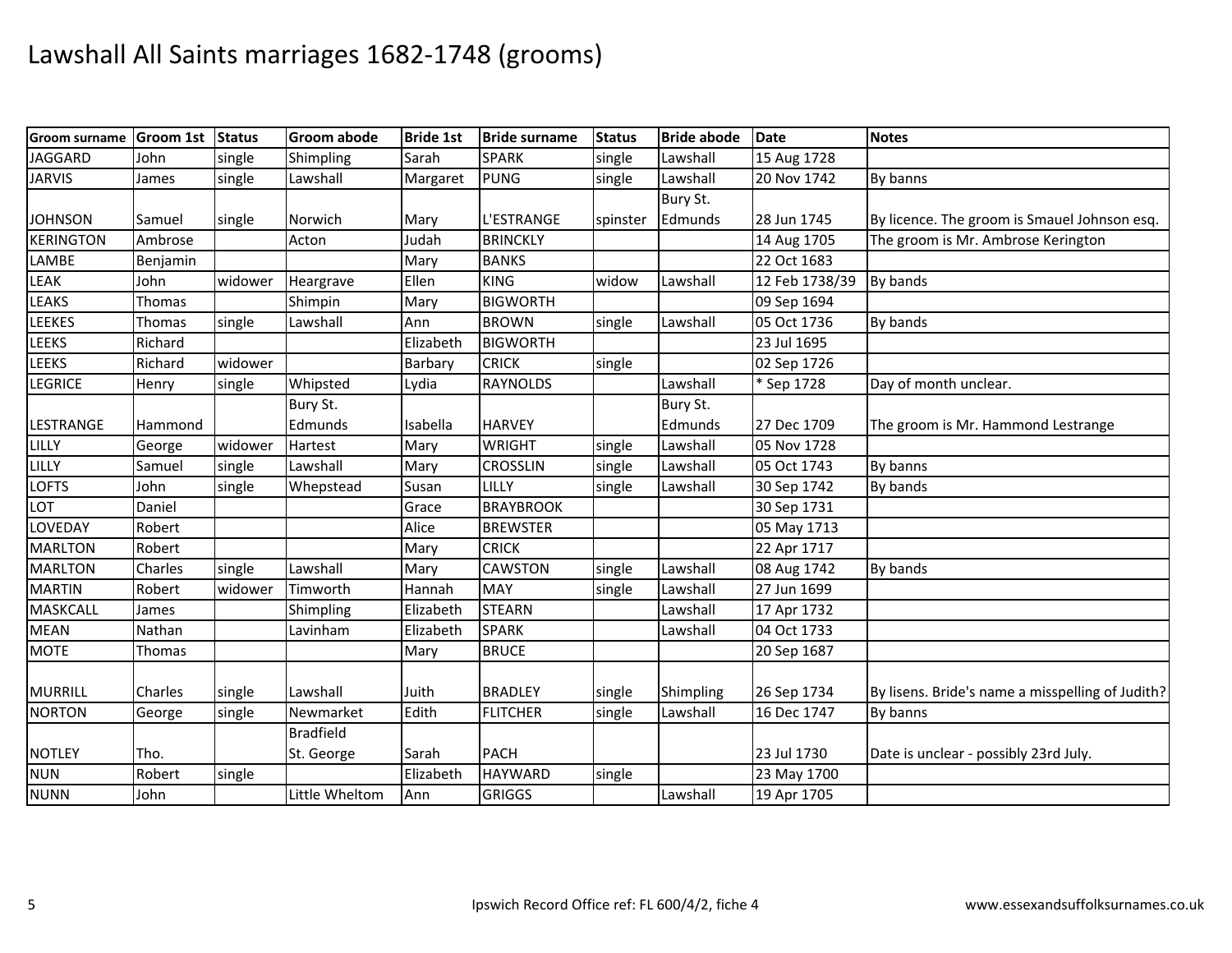| Groom surname    | <b>Groom 1st</b> | <b>Status</b> | <b>Groom abode</b> | <b>Bride 1st</b> | <b>Bride surname</b> | <b>Status</b> | <b>Bride abode</b> | <b>Date</b>    | <b>Notes</b>                                     |
|------------------|------------------|---------------|--------------------|------------------|----------------------|---------------|--------------------|----------------|--------------------------------------------------|
| <b>JAGGARD</b>   | John             | single        | Shimpling          | Sarah            | <b>SPARK</b>         | single        | Lawshall           | 15 Aug 1728    |                                                  |
| <b>JARVIS</b>    | James            | single        | Lawshall           | Margaret         | <b>PUNG</b>          | single        | Lawshall           | 20 Nov 1742    | By banns                                         |
|                  |                  |               |                    |                  |                      |               | Bury St.           |                |                                                  |
| <b>JOHNSON</b>   | Samuel           | single        | Norwich            | Mary             | L'ESTRANGE           | spinster      | Edmunds            | 28 Jun 1745    | By licence. The groom is Smauel Johnson esq.     |
| <b>KERINGTON</b> | Ambrose          |               | Acton              | Judah            | <b>BRINCKLY</b>      |               |                    | 14 Aug 1705    | The groom is Mr. Ambrose Kerington               |
| LAMBE            | Benjamin         |               |                    | Mary             | <b>BANKS</b>         |               |                    | 22 Oct 1683    |                                                  |
| LEAK             | John             | widower       | Heargrave          | Ellen            | <b>KING</b>          | widow         | Lawshall           | 12 Feb 1738/39 | By bands                                         |
| LEAKS            | Thomas           |               | Shimpin            | Mary             | <b>BIGWORTH</b>      |               |                    | 09 Sep 1694    |                                                  |
| LEEKES           | Thomas           | single        | Lawshall           | Ann              | <b>BROWN</b>         | single        | Lawshall           | 05 Oct 1736    | By bands                                         |
| LEEKS            | Richard          |               |                    | Elizabeth        | <b>BIGWORTH</b>      |               |                    | 23 Jul 1695    |                                                  |
| <b>LEEKS</b>     | Richard          | widower       |                    | Barbary          | <b>CRICK</b>         | single        |                    | 02 Sep 1726    |                                                  |
| LEGRICE          | Henry            | single        | Whipsted           | Lydia            | <b>RAYNOLDS</b>      |               | Lawshall           | * Sep 1728     | Day of month unclear.                            |
|                  |                  |               | Bury St.           |                  |                      |               | Bury St.           |                |                                                  |
| LESTRANGE        | Hammond          |               | Edmunds            | Isabella         | <b>HARVEY</b>        |               | Edmunds            | 27 Dec 1709    | The groom is Mr. Hammond Lestrange               |
| LILLY            | George           | widower       | Hartest            | Mary             | <b>WRIGHT</b>        | single        | Lawshall           | 05 Nov 1728    |                                                  |
| LILLY            | Samuel           | single        | Lawshall           | Mary             | <b>CROSSLIN</b>      | single        | Lawshall           | 05 Oct 1743    | By banns                                         |
| <b>LOFTS</b>     | John             | single        | Whepstead          | Susan            | LILLY                | single        | Lawshall           | 30 Sep 1742    | By bands                                         |
| LOT              | Daniel           |               |                    | Grace            | <b>BRAYBROOK</b>     |               |                    | 30 Sep 1731    |                                                  |
| LOVEDAY          | Robert           |               |                    | Alice            | <b>BREWSTER</b>      |               |                    | 05 May 1713    |                                                  |
| <b>MARLTON</b>   | Robert           |               |                    | Mary             | <b>CRICK</b>         |               |                    | 22 Apr 1717    |                                                  |
| <b>MARLTON</b>   | Charles          | single        | Lawshall           | Mary             | <b>CAWSTON</b>       | single        | Lawshall           | 08 Aug 1742    | By bands                                         |
| <b>MARTIN</b>    | Robert           | widower       | Timworth           | Hannah           | <b>MAY</b>           | single        | Lawshall           | 27 Jun 1699    |                                                  |
| <b>MASKCALL</b>  | James            |               | Shimpling          | Elizabeth        | <b>STEARN</b>        |               | Lawshall           | 17 Apr 1732    |                                                  |
| <b>MEAN</b>      | Nathan           |               | Lavinham           | Elizabeth        | <b>SPARK</b>         |               | Lawshall           | 04 Oct 1733    |                                                  |
| <b>MOTE</b>      | Thomas           |               |                    | Mary             | <b>BRUCE</b>         |               |                    | 20 Sep 1687    |                                                  |
|                  |                  |               |                    |                  |                      |               |                    |                |                                                  |
| <b>MURRILL</b>   | Charles          | single        | Lawshall           | Juith            | <b>BRADLEY</b>       | single        | Shimpling          | 26 Sep 1734    | By lisens. Bride's name a misspelling of Judith? |
| <b>NORTON</b>    | George           | single        | Newmarket          | Edith            | <b>FLITCHER</b>      | single        | Lawshall           | 16 Dec 1747    | By banns                                         |
|                  |                  |               | <b>Bradfield</b>   |                  |                      |               |                    |                |                                                  |
| <b>NOTLEY</b>    | Tho.             |               | St. George         | Sarah            | <b>PACH</b>          |               |                    | 23 Jul 1730    | Date is unclear - possibly 23rd July.            |
| <b>NUN</b>       | Robert           | single        |                    | Elizabeth        | <b>HAYWARD</b>       | single        |                    | 23 May 1700    |                                                  |
| <b>NUNN</b>      | John             |               | Little Wheltom     | Ann              | <b>GRIGGS</b>        |               | Lawshall           | 19 Apr 1705    |                                                  |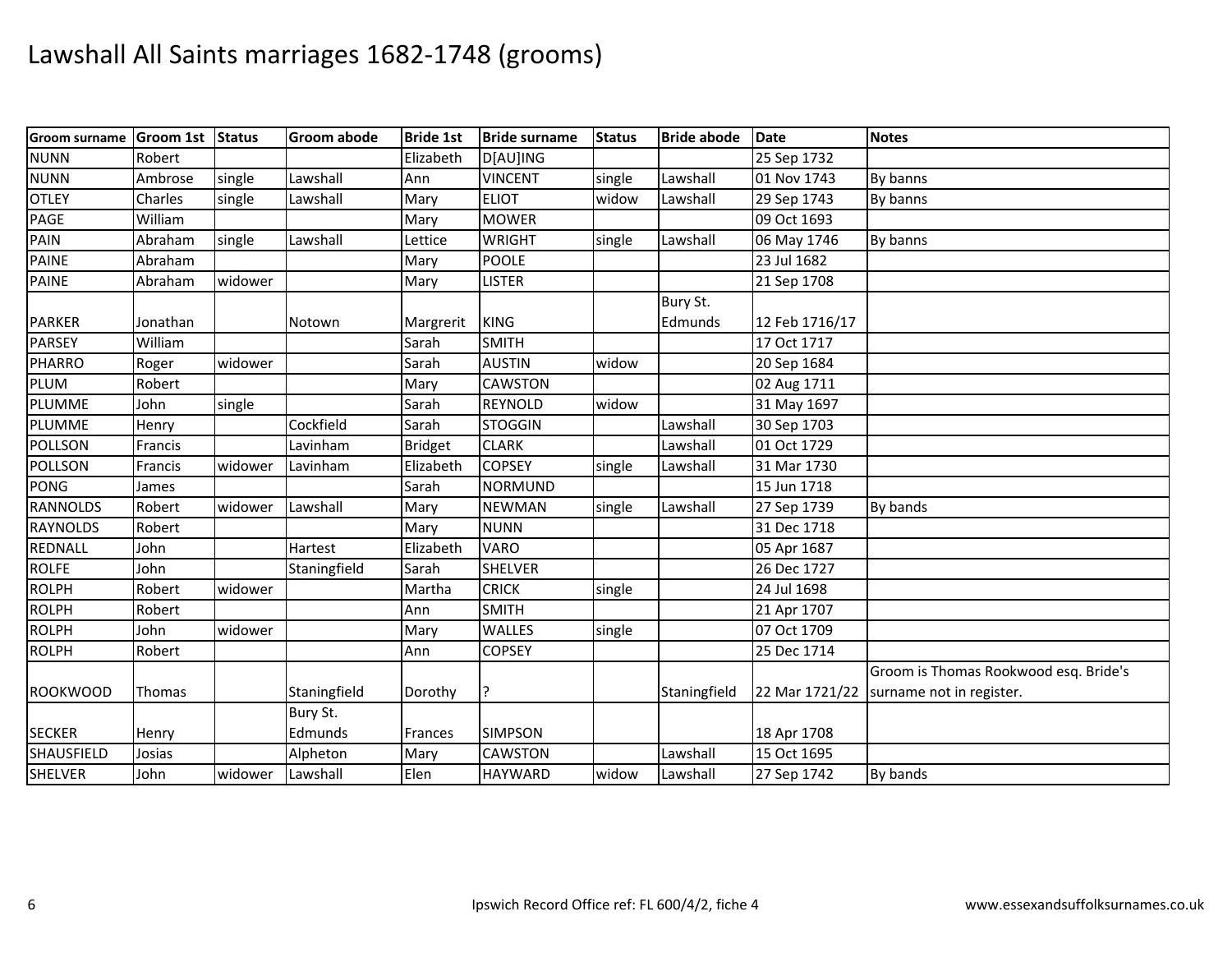| <b>Groom surname</b> | Groom 1st Status |         | <b>Groom abode</b> | <b>Bride 1st</b> | <b>Bride surname</b> | <b>Status</b> | <b>Bride abode</b> | <b>Date</b>    | <b>Notes</b>                          |
|----------------------|------------------|---------|--------------------|------------------|----------------------|---------------|--------------------|----------------|---------------------------------------|
| <b>NUNN</b>          | Robert           |         |                    | Elizabeth        | D[AU]ING             |               |                    | 25 Sep 1732    |                                       |
| <b>NUNN</b>          | Ambrose          | single  | Lawshall           | Ann              | <b>VINCENT</b>       | single        | Lawshall           | 01 Nov 1743    | By banns                              |
| <b>OTLEY</b>         | Charles          | single  | Lawshall           | Mary             | <b>ELIOT</b>         | widow         | Lawshall           | 29 Sep 1743    | By banns                              |
| PAGE                 | William          |         |                    | Mary             | <b>MOWER</b>         |               |                    | 09 Oct 1693    |                                       |
| PAIN                 | Abraham          | single  | Lawshall           | Lettice          | <b>WRIGHT</b>        | single        | Lawshall           | 06 May 1746    | By banns                              |
| <b>PAINE</b>         | Abraham          |         |                    | Mary             | <b>POOLE</b>         |               |                    | 23 Jul 1682    |                                       |
| <b>PAINE</b>         | Abraham          | widower |                    | Mary             | <b>LISTER</b>        |               |                    | 21 Sep 1708    |                                       |
|                      |                  |         |                    |                  |                      |               | Bury St.           |                |                                       |
| <b>PARKER</b>        | Jonathan         |         | Notown             | Margrerit        | <b>KING</b>          |               | Edmunds            | 12 Feb 1716/17 |                                       |
| <b>PARSEY</b>        | William          |         |                    | Sarah            | <b>SMITH</b>         |               |                    | 17 Oct 1717    |                                       |
| <b>PHARRO</b>        | Roger            | widower |                    | Sarah            | <b>AUSTIN</b>        | widow         |                    | 20 Sep 1684    |                                       |
| PLUM                 | Robert           |         |                    | Mary             | <b>CAWSTON</b>       |               |                    | 02 Aug 1711    |                                       |
| <b>PLUMME</b>        | John             | single  |                    | Sarah            | <b>REYNOLD</b>       | widow         |                    | 31 May 1697    |                                       |
| <b>PLUMME</b>        | Henry            |         | Cockfield          | Sarah            | <b>STOGGIN</b>       |               | Lawshall           | 30 Sep 1703    |                                       |
| POLLSON              | Francis          |         | Lavinham           | <b>Bridget</b>   | <b>CLARK</b>         |               | Lawshall           | 01 Oct 1729    |                                       |
| <b>POLLSON</b>       | Francis          | widower | Lavinham           | Elizabeth        | <b>COPSEY</b>        | single        | Lawshall           | 31 Mar 1730    |                                       |
| <b>PONG</b>          | James            |         |                    | Sarah            | <b>NORMUND</b>       |               |                    | 15 Jun 1718    |                                       |
| <b>RANNOLDS</b>      | Robert           | widower | Lawshall           | Mary             | <b>NEWMAN</b>        | single        | Lawshall           | 27 Sep 1739    | By bands                              |
| <b>RAYNOLDS</b>      | Robert           |         |                    | Mary             | <b>NUNN</b>          |               |                    | 31 Dec 1718    |                                       |
| <b>REDNALL</b>       | John             |         | Hartest            | Elizabeth        | <b>VARO</b>          |               |                    | 05 Apr 1687    |                                       |
| <b>ROLFE</b>         | John             |         | Staningfield       | Sarah            | <b>SHELVER</b>       |               |                    | 26 Dec 1727    |                                       |
| <b>ROLPH</b>         | Robert           | widower |                    | Martha           | <b>CRICK</b>         | single        |                    | 24 Jul 1698    |                                       |
| <b>ROLPH</b>         | Robert           |         |                    | Ann              | <b>SMITH</b>         |               |                    | 21 Apr 1707    |                                       |
| <b>ROLPH</b>         | John             | widower |                    | Mary             | WALLES               | single        |                    | 07 Oct 1709    |                                       |
| <b>ROLPH</b>         | Robert           |         |                    | Ann              | <b>COPSEY</b>        |               |                    | 25 Dec 1714    |                                       |
|                      |                  |         |                    |                  |                      |               |                    |                | Groom is Thomas Rookwood esq. Bride's |
| <b>ROOKWOOD</b>      | Thomas           |         | Staningfield       | Dorothy          |                      |               | Staningfield       | 22 Mar 1721/22 | surname not in register.              |
|                      |                  |         | Bury St.           |                  |                      |               |                    |                |                                       |
| <b>SECKER</b>        | Henry            |         | Edmunds            | Frances          | <b>SIMPSON</b>       |               |                    | 18 Apr 1708    |                                       |
| <b>SHAUSFIELD</b>    | Josias           |         | Alpheton           | Mary             | <b>CAWSTON</b>       |               | Lawshall           | 15 Oct 1695    |                                       |
| <b>SHELVER</b>       | John             | widower | Lawshall           | Elen             | <b>HAYWARD</b>       | widow         | Lawshall           | 27 Sep 1742    | By bands                              |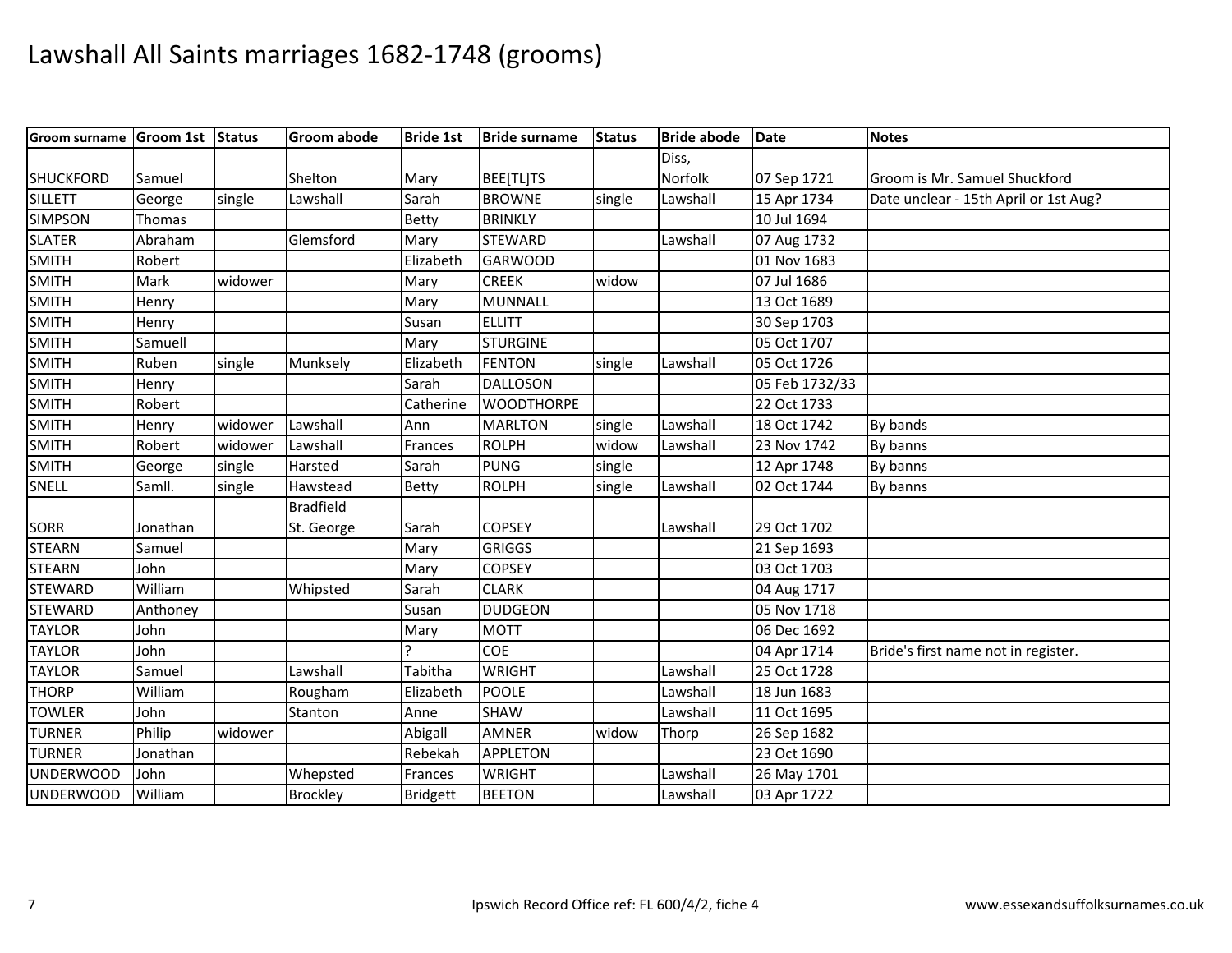| <b>Groom surname</b> | Groom 1st Status |         | <b>Groom abode</b> | <b>Bride 1st</b> | <b>Bride surname</b> | <b>Status</b> | <b>Bride abode</b> | <b>Date</b>    | <b>Notes</b>                          |
|----------------------|------------------|---------|--------------------|------------------|----------------------|---------------|--------------------|----------------|---------------------------------------|
|                      |                  |         |                    |                  |                      |               | Diss,              |                |                                       |
| <b>SHUCKFORD</b>     | Samuel           |         | Shelton            | Mary             | BEE[TL]TS            |               | Norfolk            | 07 Sep 1721    | Groom is Mr. Samuel Shuckford         |
| <b>SILLETT</b>       | George           | single  | Lawshall           | Sarah            | <b>BROWNE</b>        | single        | Lawshall           | 15 Apr 1734    | Date unclear - 15th April or 1st Aug? |
| <b>SIMPSON</b>       | Thomas           |         |                    | Betty            | <b>BRINKLY</b>       |               |                    | 10 Jul 1694    |                                       |
| <b>SLATER</b>        | Abraham          |         | Glemsford          | Mary             | <b>STEWARD</b>       |               | Lawshall           | 07 Aug 1732    |                                       |
| <b>SMITH</b>         | Robert           |         |                    | Elizabeth        | <b>GARWOOD</b>       |               |                    | 01 Nov 1683    |                                       |
| <b>SMITH</b>         | Mark             | widower |                    | Mary             | <b>CREEK</b>         | widow         |                    | 07 Jul 1686    |                                       |
| <b>SMITH</b>         | Henry            |         |                    | Mary             | <b>MUNNALL</b>       |               |                    | 13 Oct 1689    |                                       |
| <b>SMITH</b>         | Henry            |         |                    | Susan            | <b>ELLITT</b>        |               |                    | 30 Sep 1703    |                                       |
| <b>SMITH</b>         | Samuell          |         |                    | Mary             | <b>STURGINE</b>      |               |                    | 05 Oct 1707    |                                       |
| <b>SMITH</b>         | Ruben            | single  | Munksely           | Elizabeth        | <b>FENTON</b>        | single        | Lawshall           | 05 Oct 1726    |                                       |
| <b>SMITH</b>         | Henry            |         |                    | Sarah            | <b>DALLOSON</b>      |               |                    | 05 Feb 1732/33 |                                       |
| <b>SMITH</b>         | Robert           |         |                    | Catherine        | <b>WOODTHORPE</b>    |               |                    | 22 Oct 1733    |                                       |
| <b>SMITH</b>         | Henry            | widower | Lawshall           | Ann              | <b>MARLTON</b>       | single        | Lawshall           | 18 Oct 1742    | By bands                              |
| <b>SMITH</b>         | Robert           | widower | Lawshall           | Frances          | <b>ROLPH</b>         | widow         | Lawshall           | 23 Nov 1742    | By banns                              |
| <b>SMITH</b>         | George           | single  | Harsted            | Sarah            | <b>PUNG</b>          | single        |                    | 12 Apr 1748    | By banns                              |
| SNELL                | Samll.           | single  | Hawstead           | Betty            | <b>ROLPH</b>         | single        | Lawshall           | 02 Oct 1744    | By banns                              |
|                      |                  |         | <b>Bradfield</b>   |                  |                      |               |                    |                |                                       |
| <b>SORR</b>          | Jonathan         |         | St. George         | Sarah            | <b>COPSEY</b>        |               | Lawshall           | 29 Oct 1702    |                                       |
| <b>STEARN</b>        | Samuel           |         |                    | Mary             | <b>GRIGGS</b>        |               |                    | 21 Sep 1693    |                                       |
| <b>STEARN</b>        | John             |         |                    | Mary             | <b>COPSEY</b>        |               |                    | 03 Oct 1703    |                                       |
| <b>STEWARD</b>       | William          |         | Whipsted           | Sarah            | <b>CLARK</b>         |               |                    | 04 Aug 1717    |                                       |
| <b>STEWARD</b>       | Anthoney         |         |                    | Susan            | <b>DUDGEON</b>       |               |                    | 05 Nov 1718    |                                       |
| <b>TAYLOR</b>        | John             |         |                    | Mary             | <b>MOTT</b>          |               |                    | 06 Dec 1692    |                                       |
| <b>TAYLOR</b>        | John             |         |                    |                  | <b>COE</b>           |               |                    | 04 Apr 1714    | Bride's first name not in register.   |
| <b>TAYLOR</b>        | Samuel           |         | Lawshall           | Tabitha          | <b>WRIGHT</b>        |               | Lawshall           | 25 Oct 1728    |                                       |
| <b>THORP</b>         | William          |         | Rougham            | Elizabeth        | <b>POOLE</b>         |               | Lawshall           | 18 Jun 1683    |                                       |
| <b>TOWLER</b>        | John             |         | Stanton            | Anne             | <b>SHAW</b>          |               | Lawshall           | 11 Oct 1695    |                                       |
| <b>TURNER</b>        | Philip           | widower |                    | Abigall          | <b>AMNER</b>         | widow         | Thorp              | 26 Sep 1682    |                                       |
| <b>TURNER</b>        | Jonathan         |         |                    | Rebekah          | <b>APPLETON</b>      |               |                    | 23 Oct 1690    |                                       |
| <b>UNDERWOOD</b>     | John             |         | Whepsted           | Frances          | <b>WRIGHT</b>        |               | Lawshall           | 26 May 1701    |                                       |
| <b>UNDERWOOD</b>     | William          |         | <b>Brockley</b>    | <b>Bridgett</b>  | <b>BEETON</b>        |               | Lawshall           | 03 Apr 1722    |                                       |